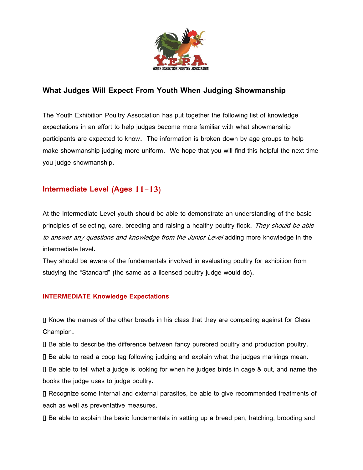

## **What Judges Will Expect From Youth When Judging Showmanship**

The Youth Exhibition Poultry Association has put together the following list of knowledge expectations in an effort to help judges become more familiar with what showmanship participants are expected to know. The information is broken down by age groups to help make showmanship judging more uniform. We hope that you will find this helpful the next time you judge showmanship.

## **Intermediate Level (Ages 11-13)**

At the Intermediate Level youth should be able to demonstrate an understanding of the basic principles of selecting, care, breeding and raising a healthy poultry flock. They should be able to answer any questions and knowledge from the Junior Level adding more knowledge in the intermediate level.

They should be aware of the fundamentals involved in evaluating poultry for exhibition from studying the "Standard" (the same as a licensed poultry judge would do).

## **INTERMEDIATE Knowledge Expectations**

Know the names of the other breeds in his class that they are competing against for Class Champion.

Be able to describe the difference between fancy purebred poultry and production poultry.

Be able to read a coop tag following judging and explain what the judges markings mean.

Be able to tell what a judge is looking for when he judges birds in cage & out, and name the books the judge uses to judge poultry.

Recognize some internal and external parasites, be able to give recommended treatments of each as well as preventative measures.

Be able to explain the basic fundamentals in setting up a breed pen, hatching, brooding and